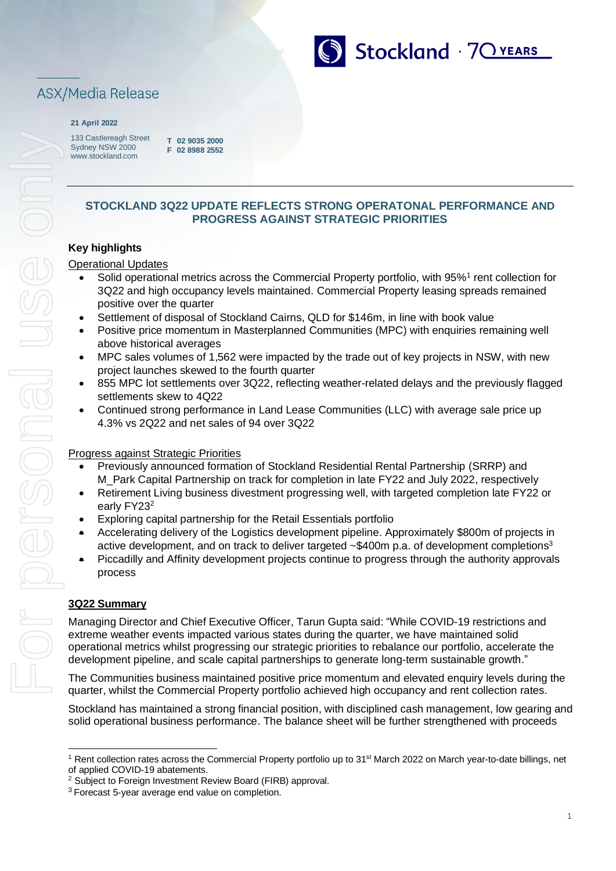

# ASX/Media Release

#### **21 April 2022**

For personal use only **Dergensonal use** 

133 Castlereagh Street Sydney NSW 2000 [www.stockland.com](http://www.stockland.com/)

**T 02 9035 2000 F 02 8988 2552**

## **STOCKLAND 3Q22 UPDATE REFLECTS STRONG OPERATONAL PERFORMANCE AND PROGRESS AGAINST STRATEGIC PRIORITIES**

## **Key highlights**

## Operational Updates

- Solid operational metrics across the Commercial Property portfolio, with 95%<sup>1</sup> rent collection for 3Q22 and high occupancy levels maintained. Commercial Property leasing spreads remained positive over the quarter
- Settlement of disposal of Stockland Cairns, QLD for \$146m, in line with book value
- Positive price momentum in Masterplanned Communities (MPC) with enquiries remaining well above historical averages
- MPC sales volumes of 1,562 were impacted by the trade out of key projects in NSW, with new project launches skewed to the fourth quarter
- 855 MPC lot settlements over 3Q22, reflecting weather-related delays and the previously flagged settlements skew to 4Q22
- Continued strong performance in Land Lease Communities (LLC) with average sale price up 4.3% vs 2Q22 and net sales of 94 over 3Q22

## Progress against Strategic Priorities

- Previously announced formation of Stockland Residential Rental Partnership (SRRP) and M\_Park Capital Partnership on track for completion in late FY22 and July 2022, respectively
- Retirement Living business divestment progressing well, with targeted completion late FY22 or early FY23<sup>2</sup>
- Exploring capital partnership for the Retail Essentials portfolio
- Accelerating delivery of the Logistics development pipeline. Approximately \$800m of projects in active development, and on track to deliver targeted ~\$400m p.a. of development completions<sup>3</sup>
- Piccadilly and Affinity development projects continue to progress through the authority approvals process

## **3Q22 Summary**

Managing Director and Chief Executive Officer, Tarun Gupta said: "While COVID-19 restrictions and extreme weather events impacted various states during the quarter, we have maintained solid operational metrics whilst progressing our strategic priorities to rebalance our portfolio, accelerate the development pipeline, and scale capital partnerships to generate long-term sustainable growth."

The Communities business maintained positive price momentum and elevated enquiry levels during the quarter, whilst the Commercial Property portfolio achieved high occupancy and rent collection rates.

Stockland has maintained a strong financial position, with disciplined cash management, low gearing and solid operational business performance. The balance sheet will be further strengthened with proceeds

<sup>&</sup>lt;sup>1</sup> Rent collection rates across the Commercial Property portfolio up to 31<sup>st</sup> March 2022 on March year-to-date billings, net of applied COVID-19 abatements.

<sup>2</sup> Subject to Foreign Investment Review Board (FIRB) approval.

<sup>&</sup>lt;sup>3</sup> Forecast 5-year average end value on completion.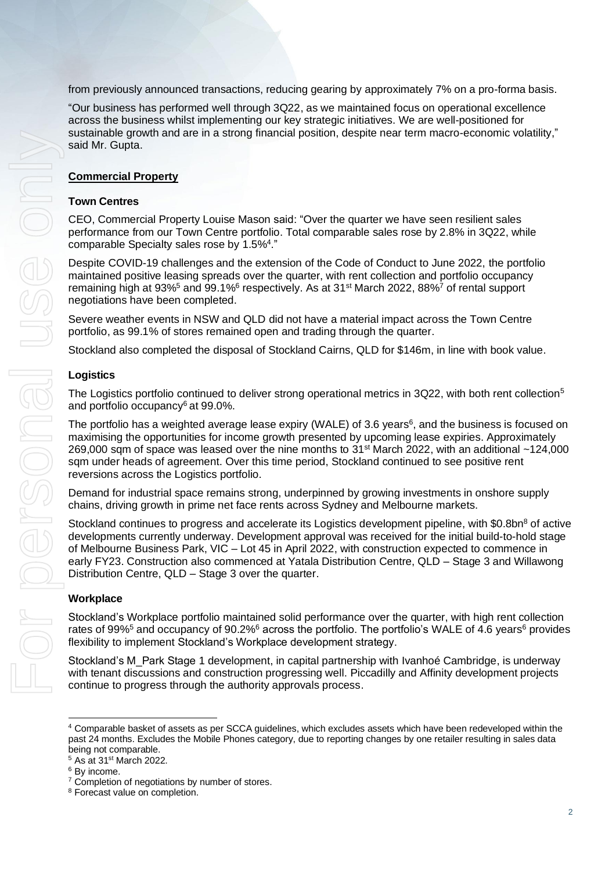from previously announced transactions, reducing gearing by approximately 7% on a pro-forma basis.

"Our business has performed well through 3Q22, as we maintained focus on operational excellence across the business whilst implementing our key strategic initiatives. We are well-positioned for sustainable growth and are in a strong financial position, despite near term macro-economic volatility," said Mr. Gupta.

### **Commercial Property**

#### **Town Centres**

CEO, Commercial Property Louise Mason said: "Over the quarter we have seen resilient sales performance from our Town Centre portfolio. Total comparable sales rose by 2.8% in 3Q22, while comparable Specialty sales rose by 1.5%<sup>4</sup>."

Despite COVID-19 challenges and the extension of the Code of Conduct to June 2022, the portfolio maintained positive leasing spreads over the quarter, with rent collection and portfolio occupancy remaining high at 93%<sup>5</sup> and 99.1%<sup>6</sup> respectively. As at 31<sup>st</sup> March 2022, 88%<sup>7</sup> of rental support negotiations have been completed.

Severe weather events in NSW and QLD did not have a material impact across the Town Centre portfolio, as 99.1% of stores remained open and trading through the quarter.

Stockland also completed the disposal of Stockland Cairns, QLD for \$146m, in line with book value.

#### **Logistics**

The Logistics portfolio continued to deliver strong operational metrics in 3Q22, with both rent collection<sup>5</sup> and portfolio occupancy<sup>6</sup> at 99.0%.

The portfolio has a weighted average lease expiry (WALE) of 3.6 years<sup>6</sup>, and the business is focused on maximising the opportunities for income growth presented by upcoming lease expiries. Approximately 269,000 sqm of space was leased over the nine months to  $31<sup>st</sup>$  March 2022, with an additional  $~124,000$ sqm under heads of agreement. Over this time period, Stockland continued to see positive rent reversions across the Logistics portfolio.

Demand for industrial space remains strong, underpinned by growing investments in onshore supply chains, driving growth in prime net face rents across Sydney and Melbourne markets.

Stockland continues to progress and accelerate its Logistics development pipeline, with \$0.8bn<sup>8</sup> of active developments currently underway. Development approval was received for the initial build-to-hold stage of Melbourne Business Park, VIC – Lot 45 in April 2022, with construction expected to commence in early FY23. Construction also commenced at Yatala Distribution Centre, QLD – Stage 3 and Willawong Distribution Centre, QLD – Stage 3 over the quarter.

#### **Workplace**

Stockland's Workplace portfolio maintained solid performance over the quarter, with high rent collection rates of 99%<sup>5</sup> and occupancy of 90.2%<sup>6</sup> across the portfolio. The portfolio's WALE of 4.6 years<sup>6</sup> provides flexibility to implement Stockland's Workplace development strategy.

Stockland's M\_Park Stage 1 development, in capital partnership with Ivanhoé Cambridge, is underway with tenant discussions and construction progressing well. Piccadilly and Affinity development projects continue to progress through the authority approvals process.

<sup>4</sup> Comparable basket of assets as per SCCA guidelines, which excludes assets which have been redeveloped within the past 24 months. Excludes the Mobile Phones category, due to reporting changes by one retailer resulting in sales data being not comparable.

<sup>5</sup> As at 31st March 2022.

<sup>6</sup> By income.

<sup>&</sup>lt;sup>7</sup> Completion of negotiations by number of stores.

<sup>8</sup> Forecast value on completion.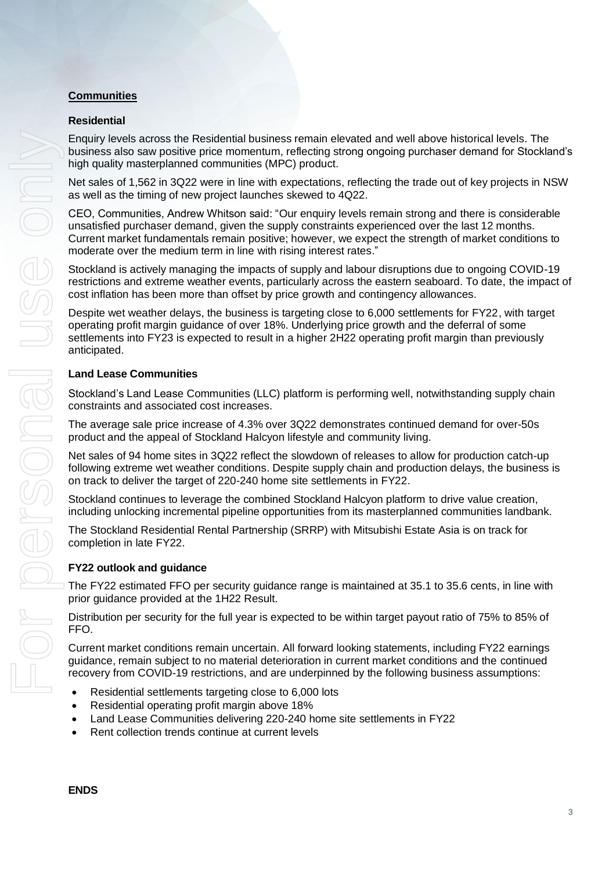## **Communities**

## **Residential**

Enquiry levels across the Residential business remain elevated and well above historical levels. The business also saw positive price momentum, reflecting strong ongoing purchaser demand for Stockland's high quality masterplanned communities (MPC) product.

Net sales of 1,562 in 3Q22 were in line with expectations, reflecting the trade out of key projects in NSW as well as the timing of new project launches skewed to 4Q22.

CEO, Communities, Andrew Whitson said: "Our enquiry levels remain strong and there is considerable unsatisfied purchaser demand, given the supply constraints experienced over the last 12 months. Current market fundamentals remain positive; however, we expect the strength of market conditions to moderate over the medium term in line with rising interest rates."

Stockland is actively managing the impacts of supply and labour disruptions due to ongoing COVID-19 restrictions and extreme weather events, particularly across the eastern seaboard. To date, the impact of cost inflation has been more than offset by price growth and contingency allowances.

Despite wet weather delays, the business is targeting close to 6,000 settlements for FY22, with target operating profit margin guidance of over 18%. Underlying price growth and the deferral of some settlements into FY23 is expected to result in a higher 2H22 operating profit margin than previously anticipated.

## **Land Lease Communities**

Stockland's Land Lease Communities (LLC) platform is performing well, notwithstanding supply chain constraints and associated cost increases.

The average sale price increase of 4.3% over 3Q22 demonstrates continued demand for over-50s product and the appeal of Stockland Halcyon lifestyle and community living.

Net sales of 94 home sites in 3Q22 reflect the slowdown of releases to allow for production catch-up following extreme wet weather conditions. Despite supply chain and production delays, the business is on track to deliver the target of 220-240 home site settlements in FY22.

Stockland continues to leverage the combined Stockland Halcyon platform to drive value creation, including unlocking incremental pipeline opportunities from its masterplanned communities landbank.

The Stockland Residential Rental Partnership (SRRP) with Mitsubishi Estate Asia is on track for completion in late FY22.

## **FY22 outlook and guidance**

The FY22 estimated FFO per security guidance range is maintained at 35.1 to 35.6 cents, in line with prior guidance provided at the 1H22 Result.

Distribution per security for the full year is expected to be within target payout ratio of 75% to 85% of FFO.

Current market conditions remain uncertain. All forward looking statements, including FY22 earnings guidance, remain subject to no material deterioration in current market conditions and the continued recovery from COVID-19 restrictions, and are underpinned by the following business assumptions:

- Residential settlements targeting close to 6,000 lots
- Residential operating profit margin above 18%
- Land Lease Communities delivering 220-240 home site settlements in FY22
- Rent collection trends continue at current levels